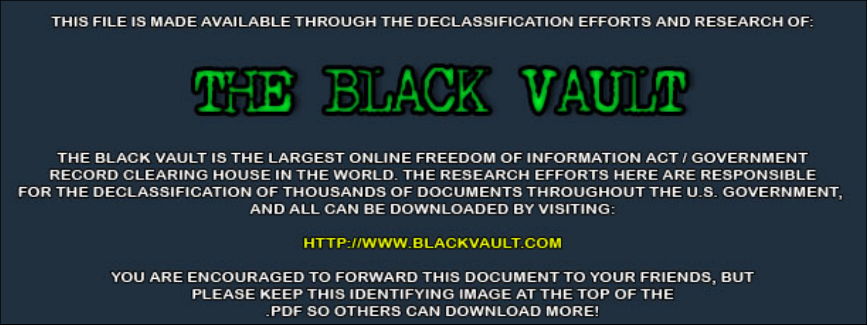THIS FILE IS MADE AVAILABLE THROUGH THE DECLASSIFICATION EFFORTS AND RESEARCH OF:



THE BLACK VAULT IS THE LARGEST ONLINE FREEDOM OF INFORMATION ACT / GOVERNMENT RECORD CLEARING HOUSE IN THE WORLD. THE RESEARCH EFFORTS HERE ARE RESPONSIBLE FOR THE DECLASSIFICATION OF THOUSANDS OF DOCUMENTS THROUGHOUT THE U.S. GOVERNMENT, AND ALL CAN BE DOWNLOADED BY VISITING:

**HTTP://WWW.BLACKVAULT.COM** 

YOU ARE ENCOURAGED TO FORWARD THIS DOCUMENT TO YOUR FRIENDS, BUT PLEASE KEEP THIS IDENTIFYING IMAGE AT THE TOP OF THE PDF SO OTHERS CAN DOWNLOAD MORE!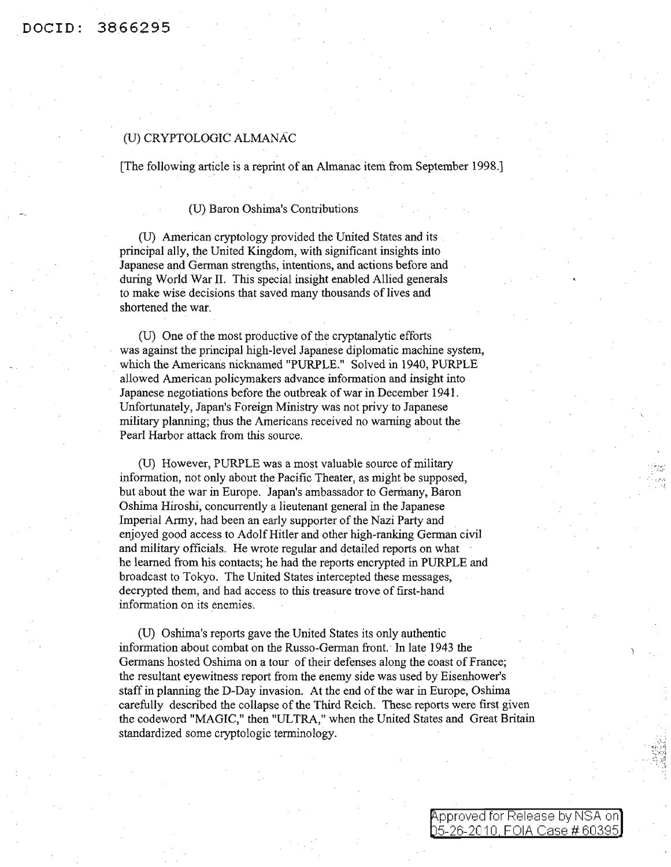## (U) CRYPTOLOGIC ALMANAC

[The following article is a reprint of an Almanac item from September 1998.]

## (U) Baron Oshima's Contributions

CD) American cryptology provided the United States and its principal ally, the United Kingdom, with significant insights into Japanese and German strengths, intentions, and actions before and during World War II. This special insight enabled Allied generals to make wise decisions that saved many thousands of lives and shortened the war.

(U) One of the most productive of the cryptanalytic efforts was against the principal high-level Japanese diplomatic machine system, which the Americans nicknamed "PURPLE." Solved in 1940, PURPLE allowed American policymakers advance information and insight into Japanese negotiations before the outbreak of war in December 1941. Unfortunately, Japan's Foreign Ministry was not privy to Japanese military planning; thus the Americans received no warning about the Pearl Harbor attack from this source.

(U) However, PURPLE was a most valuable source of military information, not only about the Pacific Theater, as might be supposed, but about the war in Europe. Japan's ambassador to Germany, Baron Oshima Hiroshi, concurrently a lieutenant general in the Japanese Imperial Army, had been an early supporter of the Nazi Party and enjoyed good access to AdolfHitler and other high-ranking German civil and military officials. He wrote regular and detailed reports on what he learned from his contacts; he had the reports encrypted in PURPLE and broadcast to Tokyo. The United States intercepted these messages, decrypted them, and had access to this treasure trove of first-hand information on its enemies.

(D) Oshima's reports gave the United States its only authentic information about combat on the Russo-German front. In late 1943 the Germans hosted Oshima on a tour of their defenses along the coast of France; the resultant eyewitness report from the enemy side was used by Eisenhower's staff in planning the D-Day invasion. At the end of the war in Europe, Oshima carefully described the collapse of the Third Reich. These reports were first given the codeword "MAGIC," then "ULTRA," when the United States and Great Britain standardized some cryptologic terminology.

> Approved for Release by NSA on] 5-26-2010 FOIA Case # 60395

 $\mathcal{L}^{\mathcal{L}}_{\mathcal{L}^{\mathcal{L}}}$